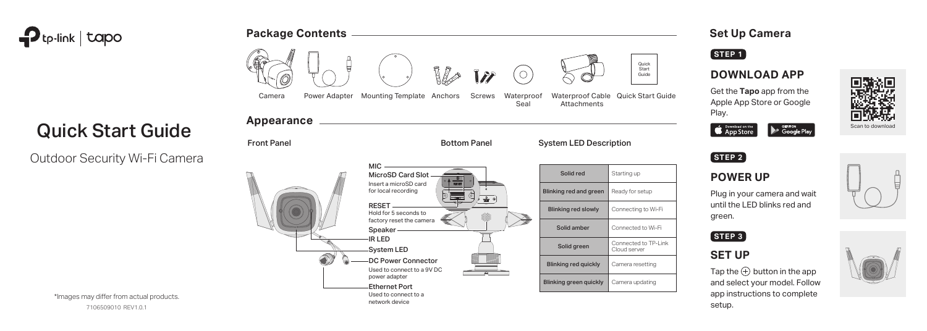

# Quick Start Guide

Outdoor Security Wi-Fi Camera









\*Images may differ from actual products.

7106509010 REV1.0.1